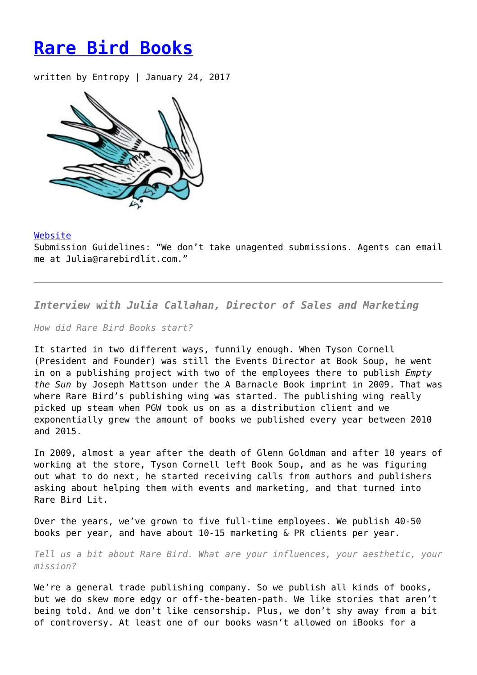## **[Rare Bird Books](https://entropymag.org/rare-bird-books/)**

written by Entropy | January 24, 2017



## [Website](http://www.rarebirdbooks.com/)

Submission Guidelines: "We don't take unagented submissions. Agents can email me at Julia@rarebirdlit.com."

*Interview with Julia Callahan, Director of Sales and Marketing*

*How did Rare Bird Books start?*

It started in two different ways, funnily enough. When Tyson Cornell (President and Founder) was still the Events Director at Book Soup, he went in on a publishing project with two of the employees there to publish *Empty the Sun* by Joseph Mattson under the A Barnacle Book imprint in 2009. That was where Rare Bird's publishing wing was started. The publishing wing really picked up steam when PGW took us on as a distribution client and we exponentially grew the amount of books we published every year between 2010 and 2015.

In 2009, almost a year after the death of Glenn Goldman and after 10 years of working at the store, Tyson Cornell left Book Soup, and as he was figuring out what to do next, he started receiving calls from authors and publishers asking about helping them with events and marketing, and that turned into Rare Bird Lit.

Over the years, we've grown to five full-time employees. We publish 40-50 books per year, and have about 10-15 marketing & PR clients per year.

*Tell us a bit about Rare Bird. What are your influences, your aesthetic, your mission?*

We're a general trade publishing company. So we publish all kinds of books, but we do skew more edgy or off-the-beaten-path. We like stories that aren't being told. And we don't like censorship. Plus, we don't shy away from a bit of controversy. At least one of our books wasn't allowed on iBooks for a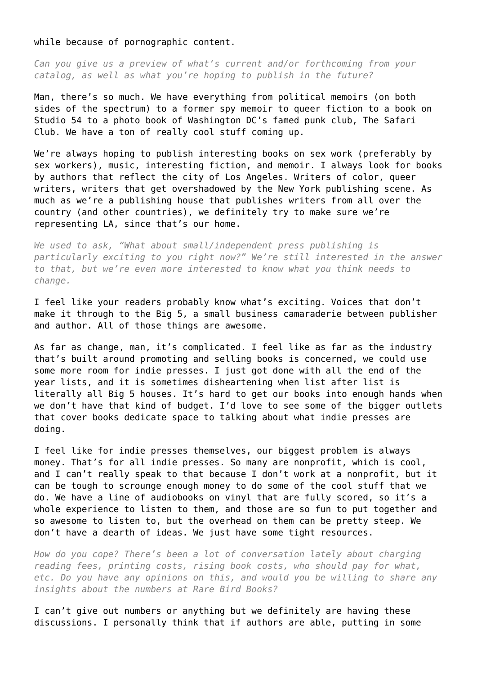while because of pornographic content.

*Can you give us a preview of what's current and/or forthcoming from your catalog, as well as what you're hoping to publish in the future?*

Man, there's so much. We have everything from political memoirs (on both sides of the spectrum) to a former spy memoir to queer fiction to a book on Studio 54 to a photo book of Washington DC's famed punk club, The Safari Club. We have a ton of really cool stuff coming up.

We're always hoping to publish interesting books on sex work (preferably by sex workers), music, interesting fiction, and memoir. I always look for books by authors that reflect the city of Los Angeles. Writers of color, queer writers, writers that get overshadowed by the New York publishing scene. As much as we're a publishing house that publishes writers from all over the country (and other countries), we definitely try to make sure we're representing LA, since that's our home.

*We used to ask, "What about small/independent press publishing is particularly exciting to you right now?" We're still interested in the answer to that, but we're even more interested to know what you think needs to change.*

I feel like your readers probably know what's exciting. Voices that don't make it through to the Big 5, a small business camaraderie between publisher and author. All of those things are awesome.

As far as change, man, it's complicated. I feel like as far as the industry that's built around promoting and selling books is concerned, we could use some more room for indie presses. I just got done with all the end of the year lists, and it is sometimes disheartening when list after list is literally all Big 5 houses. It's hard to get our books into enough hands when we don't have that kind of budget. I'd love to see some of the bigger outlets that cover books dedicate space to talking about what indie presses are doing.

I feel like for indie presses themselves, our biggest problem is always money. That's for all indie presses. So many are nonprofit, which is cool, and I can't really speak to that because I don't work at a nonprofit, but it can be tough to scrounge enough money to do some of the cool stuff that we do. We have a line of audiobooks on vinyl that are fully scored, so it's a whole experience to listen to them, and those are so fun to put together and so awesome to listen to, but the overhead on them can be pretty steep. We don't have a dearth of ideas. We just have some tight resources.

*How do you cope? There's been a lot of conversation lately about charging reading fees, printing costs, rising book costs, who should pay for what, etc. Do you have any opinions on this, and would you be willing to share any insights about the numbers at Rare Bird Books?*

I can't give out numbers or anything but we definitely are having these discussions. I personally think that if authors are able, putting in some